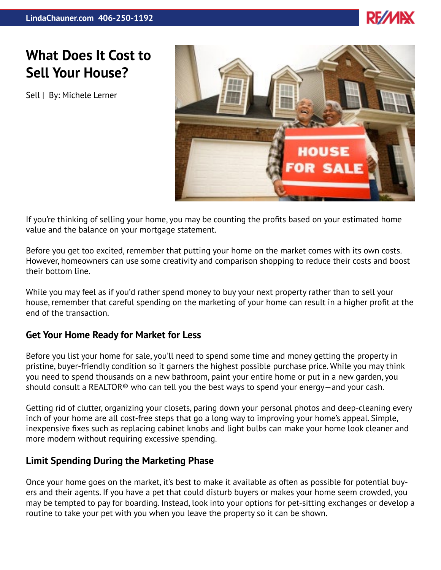

## **What Does It Cost to Sell Your House?**

Sell | By: Michele Lerner



If you're thinking of selling your home, you may be counting the profits based on your estimated home value and the balance on your mortgage statement.

Before you get too excited, remember that putting your home on the market comes with its own costs. However, homeowners can use some creativity and comparison shopping to reduce their costs and boost their bottom line.

While you may feel as if you'd rather spend money to buy your next property rather than to sell your house, remember that careful spending on the marketing of your home can result in a higher profit at the end of the transaction.

## **Get Your Home Ready for Market for Less**

Before you list your home for sale, you'll need to spend some time and money getting the property in pristine, buyer-friendly condition so it garners the highest possible purchase price. While you may think you need to spend thousands on a new bathroom, paint your entire home or put in a new garden, you should consult a REALTOR® who can tell you the best ways to spend your energy—and your cash.

Getting rid of clutter, organizing your closets, paring down your personal photos and deep-cleaning every inch of your home are all cost-free steps that go a long way to improving your home's appeal. Simple, inexpensive fixes such as replacing cabinet knobs and light bulbs can make your home look cleaner and more modern without requiring excessive spending.

## **Limit Spending During the Marketing Phase**

Once your home goes on the market, it's best to make it available as often as possible for potential buyers and their agents. If you have a pet that could disturb buyers or makes your home seem crowded, you may be tempted to pay for boarding. Instead, look into your options for pet-sitting exchanges or develop a routine to take your pet with you when you leave the property so it can be shown.